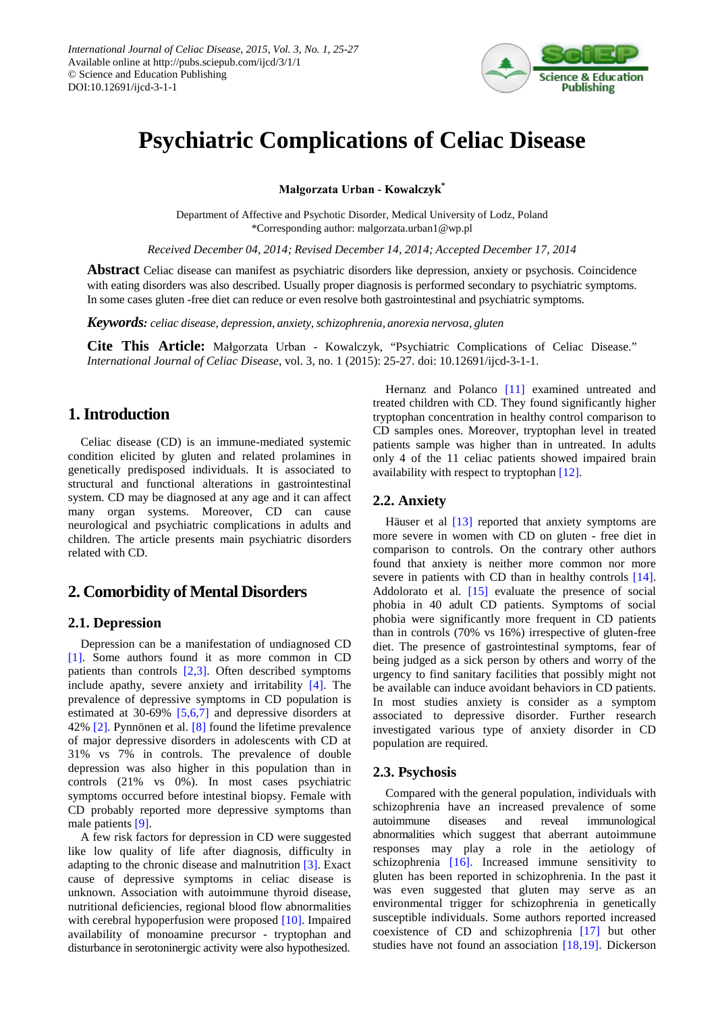

# **Psychiatric Complications of Celiac Disease**

**Małgorzata Urban - Kowalczyk\***

Department of Affective and Psychotic Disorder, Medical University of Lodz, Poland \*Corresponding author: malgorzata.urban1@wp.pl

*Received December 04, 2014; Revised December 14, 2014; Accepted December 17, 2014*

**Abstract** Celiac disease can manifest as psychiatric disorders like depression, anxiety or psychosis. Coincidence with eating disorders was also described. Usually proper diagnosis is performed secondary to psychiatric symptoms. In some cases gluten -free diet can reduce or even resolve both gastrointestinal and psychiatric symptoms.

*Keywords: celiac disease, depression, anxiety, schizophrenia, anorexia nervosa, gluten*

**Cite This Article:** Małgorzata Urban - Kowalczyk, "Psychiatric Complications of Celiac Disease." *International Journal of Celiac Disease*, vol. 3, no. 1 (2015): 25-27. doi: 10.12691/ijcd-3-1-1.

# **1. Introduction**

Celiac disease (CD) is an immune-mediated systemic condition elicited by gluten and related prolamines in genetically predisposed individuals. It is associated to structural and functional alterations in gastrointestinal system. CD may be diagnosed at any age and it can affect many organ systems. Moreover, CD can cause neurological and psychiatric complications in adults and children. The article presents main psychiatric disorders related with CD.

## **2. Comorbidity of Mental Disorders**

#### **2.1. Depression**

Depression can be a manifestation of undiagnosed CD [\[1\].](#page-2-0) Some authors found it as more common in CD patients than controls [\[2,3\].](#page-2-1) Often described symptoms include apathy, severe anxiety and irritability [\[4\].](#page-2-2) The prevalence of depressive symptoms in CD population is estimated at 30-69% [\[5,6,7\]](#page-2-3) and depressive disorders at 42% [\[2\].](#page-2-1) Pynnönen et al. [\[8\]](#page-2-4) found the lifetime prevalence of major depressive disorders in adolescents with CD at 31% vs 7% in controls. The prevalence of double depression was also higher in this population than in controls (21% vs 0%). In most cases psychiatric symptoms occurred before intestinal biopsy. Female with CD probably reported more depressive symptoms than male patients [\[9\].](#page-2-5)

A few risk factors for depression in CD were suggested like low quality of life after diagnosis, difficulty in adapting to the chronic disease and malnutrition [\[3\].](#page-2-6) Exact cause of depressive symptoms in celiac disease is unknown. Association with autoimmune thyroid disease, nutritional deficiencies, regional blood flow abnormalities with cerebral hypoperfusion were proposed [\[10\].](#page-2-7) Impaired availability of monoamine precursor - tryptophan and disturbance in serotoninergic activity were also hypothesized.

Hernanz and Polanco [\[11\]](#page-2-8) examined untreated and treated children with CD. They found significantly higher tryptophan concentration in healthy control comparison to CD samples ones. Moreover, tryptophan level in treated patients sample was higher than in untreated. In adults only 4 of the 11 celiac patients showed impaired brain availability with respect to tryptophan [\[12\].](#page-2-9)

#### **2.2. Anxiety**

Häuser et al [\[13\]](#page-2-10) reported that anxiety symptoms are more severe in women with CD on gluten - free diet in comparison to controls. On the contrary other authors found that anxiety is neither more common nor more severe in patients with CD than in healthy controls [\[14\].](#page-2-11) Addolorato et al. [\[15\]](#page-2-12) evaluate the presence of social phobia in 40 adult CD patients. Symptoms of social phobia were significantly more frequent in CD patients than in controls (70% vs 16%) irrespective of gluten-free diet. The presence of gastrointestinal symptoms, fear of being judged as a sick person by others and worry of the urgency to find sanitary facilities that possibly might not be available can induce avoidant behaviors in CD patients. In most studies anxiety is consider as a symptom associated to depressive disorder. Further research investigated various type of anxiety disorder in CD population are required.

#### **2.3. Psychosis**

Compared with the general population, individuals with schizophrenia have an increased prevalence of some autoimmune diseases and reveal immunological abnormalities which suggest that aberrant autoimmune responses may play a role in the aetiology of schizophrenia [\[16\].](#page-2-13) Increased immune sensitivity to gluten has been reported in schizophrenia. In the past it was even suggested that gluten may serve as an environmental trigger for schizophrenia in genetically susceptible individuals. Some authors reported increased coexistence of CD and schizophrenia [\[17\]](#page-2-14) but other studies have not found an association [\[18,19\].](#page-2-15) Dickerson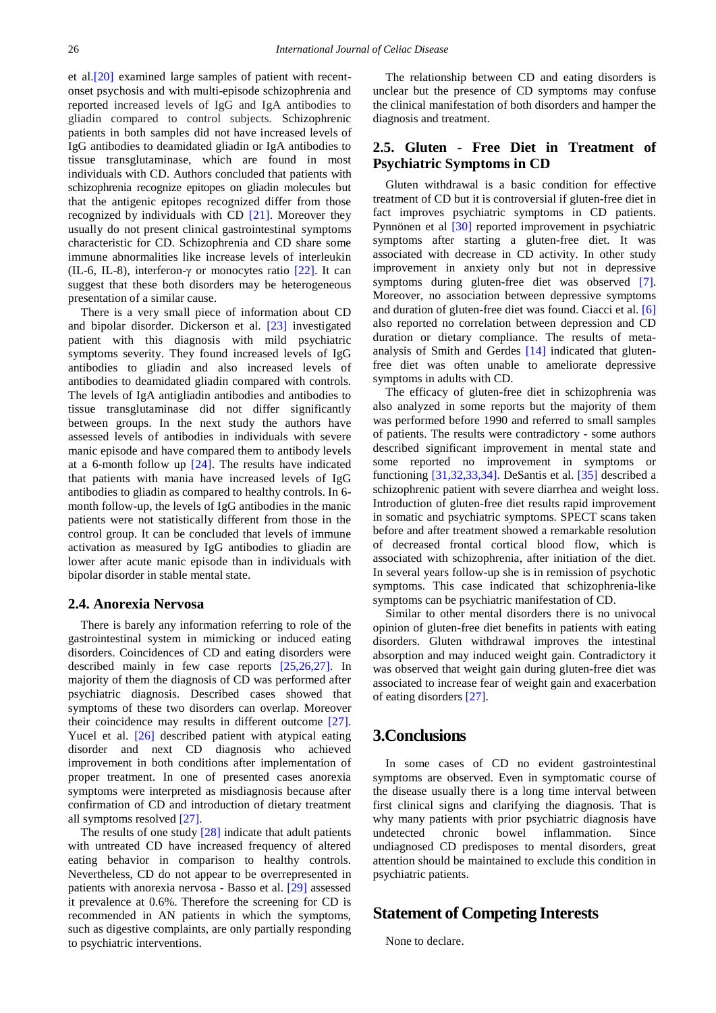et al[.\[20\]](#page-2-16) examined large samples of patient with recentonset psychosis and with multi-episode schizophrenia and reported increased levels of IgG and IgA antibodies to gliadin compared to control subjects. Schizophrenic patients in both samples did not have increased levels of IgG antibodies to deamidated gliadin or IgA antibodies to tissue transglutaminase, which are found in most individuals with CD. Authors concluded that patients with schizophrenia recognize epitopes on gliadin molecules but that the antigenic epitopes recognized differ from those recognized by individuals with CD [\[21\].](#page-2-17) Moreover they usually do not present clinical gastrointestinal symptoms characteristic for CD. Schizophrenia and CD share some immune abnormalities like increase levels of interleukin (IL-6, IL-8), interferon-γ or monocytes ratio [\[22\].](#page-2-18) It can suggest that these both disorders may be heterogeneous presentation of a similar cause.

There is a very small piece of information about CD and bipolar disorder. Dickerson et al. [\[23\]](#page-2-19) investigated patient with this diagnosis with mild psychiatric symptoms severity. They found increased levels of IgG antibodies to gliadin and also increased levels of antibodies to deamidated gliadin compared with controls. The levels of IgA antigliadin antibodies and antibodies to tissue transglutaminase did not differ significantly between groups. In the next study the authors have assessed levels of antibodies in individuals with severe manic episode and have compared them to antibody levels at a 6-month follow up [\[24\].](#page-2-20) The results have indicated that patients with mania have increased levels of IgG antibodies to gliadin as compared to healthy controls. In 6 month follow-up, the levels of IgG antibodies in the manic patients were not statistically different from those in the control group. It can be concluded that levels of immune activation as measured by IgG antibodies to gliadin are lower after acute manic episode than in individuals with bipolar disorder in stable mental state.

#### **2.4. Anorexia Nervosa**

There is barely any information referring to role of the gastrointestinal system in mimicking or induced eating disorders. Coincidences of CD and eating disorders were described mainly in few case reports [\[25,26,27\].](#page-2-21) In majority of them the diagnosis of CD was performed after psychiatric diagnosis. Described cases showed that symptoms of these two disorders can overlap. Moreover their coincidence may results in different outcome [\[27\].](#page-2-22) Yucel et al. [\[26\]](#page-2-23) described patient with atypical eating disorder and next CD diagnosis who achieved improvement in both conditions after implementation of proper treatment. In one of presented cases anorexia symptoms were interpreted as misdiagnosis because after confirmation of CD and introduction of dietary treatment all symptoms resolved [\[27\].](#page-2-22)

The results of one study  $[28]$  indicate that adult patients with untreated CD have increased frequency of altered eating behavior in comparison to healthy controls. Nevertheless, CD do not appear to be overrepresented in patients with anorexia nervosa - Basso et al. [\[29\]](#page-2-25) assessed it prevalence at 0.6%. Therefore the screening for CD is recommended in AN patients in which the symptoms, such as digestive complaints, are only partially responding to psychiatric interventions.

The relationship between CD and eating disorders is unclear but the presence of CD symptoms may confuse the clinical manifestation of both disorders and hamper the diagnosis and treatment.

### **2.5. Gluten - Free Diet in Treatment of Psychiatric Symptoms in CD**

Gluten withdrawal is a basic condition for effective treatment of CD but it is controversial if gluten-free diet in fact improves psychiatric symptoms in CD patients. Pynnönen et al [\[30\]](#page-2-26) reported improvement in psychiatric symptoms after starting a gluten-free diet. It was associated with decrease in CD activity. In other study improvement in anxiety only but not in depressive symptoms during gluten-free diet was observed [\[7\].](#page-2-27) Moreover, no association between depressive symptoms and duration of gluten-free diet was found. Ciacci et al. [\[6\]](#page-2-28) also reported no correlation between depression and CD duration or dietary compliance. The results of metaanalysis of Smith and Gerdes [\[14\]](#page-2-11) indicated that glutenfree diet was often unable to ameliorate depressive symptoms in adults with CD.

The efficacy of gluten-free diet in schizophrenia was also analyzed in some reports but the majority of them was performed before 1990 and referred to small samples of patients. The results were contradictory - some authors described significant improvement in mental state and some reported no improvement in symptoms or functioning [\[31,32,33,34\].](#page-2-29) DeSantis et al. [\[35\]](#page-2-30) described a schizophrenic patient with severe diarrhea and weight loss. Introduction of gluten-free diet results rapid improvement in somatic and psychiatric symptoms. SPECT scans taken before and after treatment showed a remarkable resolution of decreased frontal cortical blood flow, which is associated with schizophrenia, after initiation of the diet. In several years follow-up she is in remission of psychotic symptoms. This case indicated that schizophrenia-like symptoms can be psychiatric manifestation of CD.

Similar to other mental disorders there is no univocal opinion of gluten-free diet benefits in patients with eating disorders. Gluten withdrawal improves the intestinal absorption and may induced weight gain. Contradictory it was observed that weight gain during gluten-free diet was associated to increase fear of weight gain and exacerbation of eating disorders [\[27\].](#page-2-22)

# **3.Conclusions**

In some cases of CD no evident gastrointestinal symptoms are observed. Even in symptomatic course of the disease usually there is a long time interval between first clinical signs and clarifying the diagnosis. That is why many patients with prior psychiatric diagnosis have undetected chronic bowel inflammation. Since undiagnosed CD predisposes to mental disorders, great attention should be maintained to exclude this condition in psychiatric patients.

## **Statement of Competing Interests**

None to declare.